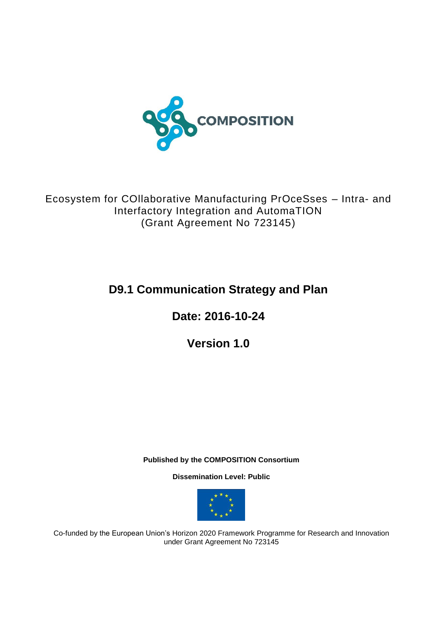

Ecosystem for COllaborative Manufacturing PrOceSses – Intra- and Interfactory Integration and AutomaTION (Grant Agreement No 723145)

# **D9.1 Communication Strategy and Plan**

**Date: 2016-10-24**

**Version 1.0**

**Published by the COMPOSITION Consortium** 

**Dissemination Level: Public**



Co-funded by the European Union's Horizon 2020 Framework Programme for Research and Innovation under Grant Agreement No 723145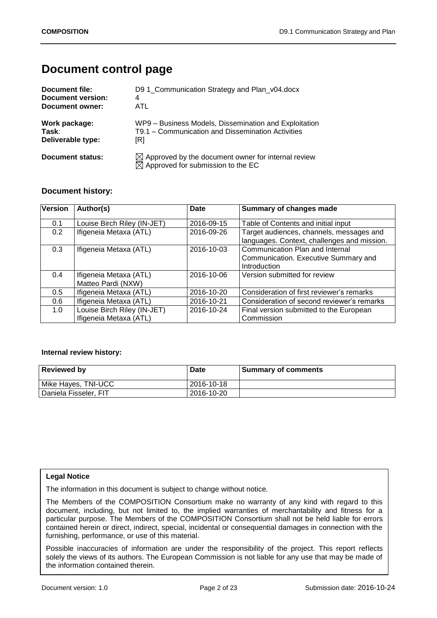## **Document control page**

| Document file:    | D9 1_Communication Strategy and Plan_v04.docx                                                                   |
|-------------------|-----------------------------------------------------------------------------------------------------------------|
| Document version: | 4                                                                                                               |
| Document owner:   | ATL                                                                                                             |
| Work package:     | WP9 - Business Models, Dissemination and Exploitation                                                           |
| Task:             | T9.1 – Communication and Dissemination Activities                                                               |
| Deliverable type: | [R]                                                                                                             |
| Document status:  | $\boxtimes$ Approved by the document owner for internal review<br>$\boxtimes$ Approved for submission to the EC |

## **Document history:**

| <b>Version</b> | Author(s)                                             | <b>Date</b> | Summary of changes made                                                                 |
|----------------|-------------------------------------------------------|-------------|-----------------------------------------------------------------------------------------|
| 0.1            | Louise Birch Riley (IN-JET)                           | 2016-09-15  | Table of Contents and initial input                                                     |
| 0.2            | Ifigeneia Metaxa (ATL)                                | 2016-09-26  | Target audiences, channels, messages and<br>languages. Context, challenges and mission. |
| 0.3            | Ifigeneia Metaxa (ATL)                                | 2016-10-03  | Communication Plan and Internal<br>Communication. Executive Summary and<br>Introduction |
| 0.4            | Ifigeneia Metaxa (ATL)<br>Matteo Pardi (NXW)          | 2016-10-06  | Version submitted for review                                                            |
| 0.5            | Ifigeneia Metaxa (ATL)                                | 2016-10-20  | Consideration of first reviewer's remarks                                               |
| 0.6            | Ifigeneia Metaxa (ATL)                                | 2016-10-21  | Consideration of second reviewer's remarks                                              |
| 1.0            | Louise Birch Riley (IN-JET)<br>Ifigeneia Metaxa (ATL) | 2016-10-24  | Final version submitted to the European<br>Commission                                   |

#### **Internal review history:**

| <b>Reviewed by</b>    | Date       | <b>Summary of comments</b> |
|-----------------------|------------|----------------------------|
| Mike Hayes, TNI-UCC   | 2016-10-18 |                            |
| Daniela Fisseler, FIT | 2016-10-20 |                            |

#### **Legal Notice**

The information in this document is subject to change without notice.

The Members of the COMPOSITION Consortium make no warranty of any kind with regard to this document, including, but not limited to, the implied warranties of merchantability and fitness for a particular purpose. The Members of the COMPOSITION Consortium shall not be held liable for errors contained herein or direct, indirect, special, incidental or consequential damages in connection with the furnishing, performance, or use of this material.

Possible inaccuracies of information are under the responsibility of the project. This report reflects solely the views of its authors. The European Commission is not liable for any use that may be made of the information contained therein.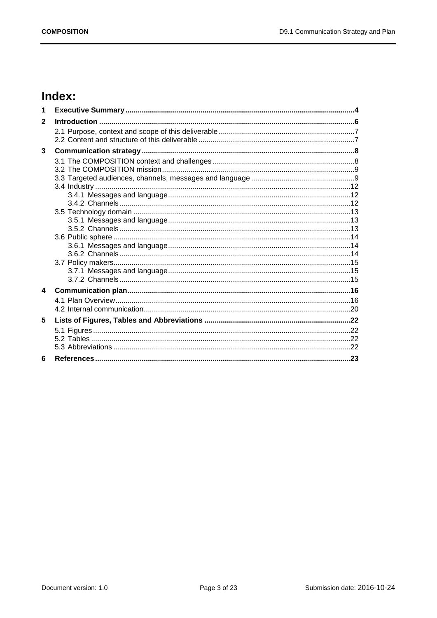# Index:

| 1                |  |
|------------------|--|
| $\mathbf{2}$     |  |
|                  |  |
|                  |  |
| 3                |  |
|                  |  |
|                  |  |
|                  |  |
|                  |  |
|                  |  |
|                  |  |
|                  |  |
|                  |  |
|                  |  |
|                  |  |
|                  |  |
|                  |  |
|                  |  |
|                  |  |
| $\blacktriangle$ |  |
|                  |  |
|                  |  |
| 5                |  |
|                  |  |
|                  |  |
|                  |  |
| 6                |  |
|                  |  |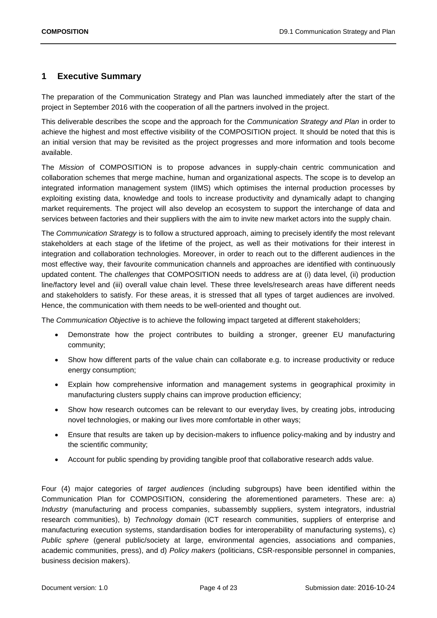## <span id="page-3-0"></span>**1 Executive Summary**

The preparation of the Communication Strategy and Plan was launched immediately after the start of the project in September 2016 with the cooperation of all the partners involved in the project.

This deliverable describes the scope and the approach for the *Communication Strategy and Plan* in order to achieve the highest and most effective visibility of the COMPOSITION project. It should be noted that this is an initial version that may be revisited as the project progresses and more information and tools become available.

The *Mission* of COMPOSITION is to propose advances in supply-chain centric communication and collaboration schemes that merge machine, human and organizational aspects. The scope is to develop an integrated information management system (IIMS) which optimises the internal production processes by exploiting existing data, knowledge and tools to increase productivity and dynamically adapt to changing market requirements. The project will also develop an ecosystem to support the interchange of data and services between factories and their suppliers with the aim to invite new market actors into the supply chain.

The *Communication Strategy* is to follow a structured approach, aiming to precisely identify the most relevant stakeholders at each stage of the lifetime of the project, as well as their motivations for their interest in integration and collaboration technologies. Moreover, in order to reach out to the different audiences in the most effective way, their favourite communication channels and approaches are identified with continuously updated content. The *challenges* that COMPOSITION needs to address are at (i) data level, (ii) production line/factory level and (iii) overall value chain level. These three levels/research areas have different needs and stakeholders to satisfy. For these areas, it is stressed that all types of target audiences are involved. Hence, the communication with them needs to be well-oriented and thought out.

The *Communication Objective* is to achieve the following impact targeted at different stakeholders;

- Demonstrate how the project contributes to building a stronger, greener EU manufacturing community;
- Show how different parts of the value chain can collaborate e.g. to increase productivity or reduce energy consumption;
- Explain how comprehensive information and management systems in geographical proximity in manufacturing clusters supply chains can improve production efficiency;
- Show how research outcomes can be relevant to our everyday lives, by creating jobs, introducing novel technologies, or making our lives more comfortable in other ways;
- Ensure that results are taken up by decision-makers to influence policy-making and by industry and the scientific community;
- Account for public spending by providing tangible proof that collaborative research adds value.

Four (4) major categories of *target audiences* (including subgroups) have been identified within the Communication Plan for COMPOSITION, considering the aforementioned parameters. These are: a) *Industry* (manufacturing and process companies, subassembly suppliers, system integrators, industrial research communities), b) *Technology domain* (ICT research communities, suppliers of enterprise and manufacturing execution systems, standardisation bodies for interoperability of manufacturing systems), c) *Public sphere* (general public/society at large, environmental agencies, associations and companies, academic communities, press), and d) *Policy makers* (politicians, CSR-responsible personnel in companies, business decision makers).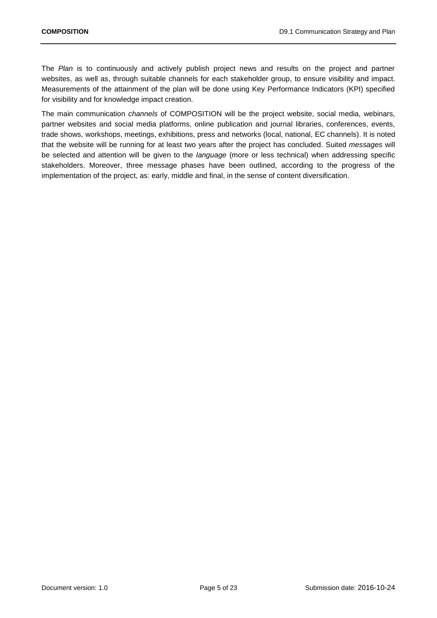The *Plan* is to continuously and actively publish project news and results on the project and partner websites, as well as, through suitable channels for each stakeholder group, to ensure visibility and impact. Measurements of the attainment of the plan will be done using Key Performance Indicators (KPI) specified for visibility and for knowledge impact creation.

The main communication *channels* of COMPOSITION will be the project website, social media, webinars, partner websites and social media platforms, online publication and journal libraries, conferences, events, trade shows, workshops, meetings, exhibitions, press and networks (local, national, EC channels). It is noted that the website will be running for at least two years after the project has concluded. Suited *messages* will be selected and attention will be given to the *language* (more or less technical) when addressing specific stakeholders. Moreover, three message phases have been outlined, according to the progress of the implementation of the project, as: early, middle and final, in the sense of content diversification.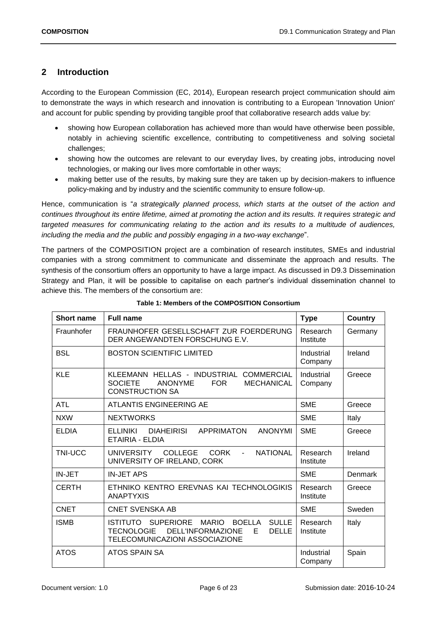## <span id="page-5-0"></span>**2 Introduction**

According to the European Commission (EC, 2014), European research project communication should aim to demonstrate the ways in which research and innovation is contributing to a European 'Innovation Union' and account for public spending by providing tangible proof that collaborative research adds value by:

- showing how European collaboration has achieved more than would have otherwise been possible, notably in achieving scientific excellence, contributing to competitiveness and solving societal challenges;
- showing how the outcomes are relevant to our everyday lives, by creating jobs, introducing novel technologies, or making our lives more comfortable in other ways;
- making better use of the results, by making sure they are taken up by decision-makers to influence policy-making and by industry and the scientific community to ensure follow-up.

Hence, communication is "*a strategically planned process, which starts at the outset of the action and continues throughout its entire lifetime, aimed at promoting the action and its results. It requires strategic and targeted measures for communicating relating to the action and its results to a multitude of audiences, including the media and the public and possibly engaging in a two-way exchange*".

The partners of the COMPOSITION project are a combination of research institutes, SMEs and industrial companies with a strong commitment to communicate and disseminate the approach and results. The synthesis of the consortium offers an opportunity to have a large impact. As discussed in D9.3 Dissemination Strategy and Plan, it will be possible to capitalise on each partner's individual dissemination channel to achieve this. The members of the consortium are:

<span id="page-5-1"></span>

| <b>Short name</b> | <b>Full name</b>                                                                                                                                                                      | <b>Type</b>           | <b>Country</b> |
|-------------------|---------------------------------------------------------------------------------------------------------------------------------------------------------------------------------------|-----------------------|----------------|
| Fraunhofer        | FRAUNHOFER GESELLSCHAFT ZUR FOERDERUNG<br>DER ANGEWANDTEN FORSCHUNG E.V.                                                                                                              | Research<br>Institute | Germany        |
| <b>BSL</b>        | <b>BOSTON SCIENTIFIC LIMITED</b>                                                                                                                                                      | Industrial<br>Company | Ireland        |
| <b>KLE</b>        | KLEEMANN HELLAS - INDUSTRIAL<br><b>COMMERCIAL</b><br><b>SOCIETE</b><br><b>ANONYME</b><br><b>FOR</b><br><b>MECHANICAL</b><br><b>CONSTRUCTION SA</b>                                    | Industrial<br>Company | Greece         |
| <b>ATL</b>        | ATLANTIS ENGINEERING AE                                                                                                                                                               | <b>SME</b>            | Greece         |
| <b>NXW</b>        | <b>NEXTWORKS</b>                                                                                                                                                                      | <b>SME</b>            | Italy          |
| <b>ELDIA</b>      | <b>DIAHEIRISI</b><br><b>ANONYMI</b><br>ELLINIKI<br><b>APPRIMATON</b><br>ETAIRIA - ELDIA                                                                                               | <b>SME</b>            | Greece         |
| <b>TNI-UCC</b>    | <b>COLLEGE</b><br><b>NATIONAL</b><br><b>UNIVERSITY</b><br><b>CORK</b><br>$\sim$<br>UNIVERSITY OF IRELAND, CORK                                                                        | Research<br>Institute | Ireland        |
| IN-JET            | <b>IN-JET APS</b>                                                                                                                                                                     | <b>SME</b>            | Denmark        |
| <b>CERTH</b>      | ETHNIKO KENTRO EREVNAS KAI TECHNOLOGIKIS<br><b>ANAPTYXIS</b>                                                                                                                          | Research<br>Institute | Greece         |
| <b>CNET</b>       | <b>CNET SVENSKA AB</b>                                                                                                                                                                | <b>SME</b>            | Sweden         |
| <b>ISMB</b>       | <b>SUPERIORE</b><br><b>BOELLA</b><br><b>SULLE</b><br>ISTITUTO<br><b>MARIO</b><br><b>TECNOLOGIE</b><br><b>DELL'INFORMAZIONE</b><br><b>DELLE</b><br>Е<br>TELECOMUNICAZIONI ASSOCIAZIONE | Research<br>Institute | Italy          |
| <b>ATOS</b>       | ATOS SPAIN SA                                                                                                                                                                         | Industrial<br>Company | Spain          |

**Table 1: Members of the COMPOSITION Consortium**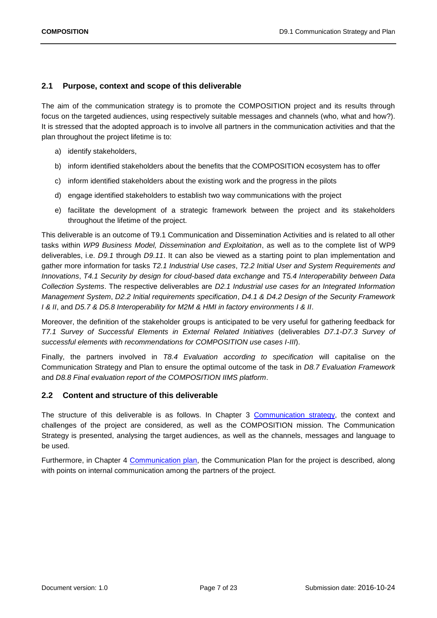## <span id="page-6-0"></span>**2.1 Purpose, context and scope of this deliverable**

The aim of the communication strategy is to promote the COMPOSITION project and its results through focus on the targeted audiences, using respectively suitable messages and channels (who, what and how?). It is stressed that the adopted approach is to involve all partners in the communication activities and that the plan throughout the project lifetime is to:

- a) identify stakeholders,
- b) inform identified stakeholders about the benefits that the COMPOSITION ecosystem has to offer
- c) inform identified stakeholders about the existing work and the progress in the pilots
- d) engage identified stakeholders to establish two way communications with the project
- e) facilitate the development of a strategic framework between the project and its stakeholders throughout the lifetime of the project.

This deliverable is an outcome of T9.1 Communication and Dissemination Activities and is related to all other tasks within *WP9 Business Model, Dissemination and Exploitation*, as well as to the complete list of WP9 deliverables, i.e. *D9.1* through *D9.11*. It can also be viewed as a starting point to plan implementation and gather more information for tasks *T2.1 Industrial Use cases*, *T2.2 Initial User and System Requirements and Innovations*, *T4.1 Security by design for cloud-based data exchange* and *T5.4 Interoperability between Data Collection Systems*. The respective deliverables are *D2.1 Industrial use cases for an Integrated Information Management System*, *D2.2 Initial requirements specification*, *D4.1 & D4.2 Design of the Security Framework I & II*, and *D5.7 & D5.8 Interoperability for M2M & HMI in factory environments I & II*.

Moreover, the definition of the stakeholder groups is anticipated to be very useful for gathering feedback for *T7.1 Survey of Successful Elements in External Related Initiatives* (deliverables *D7.1-D7.3 Survey of successful elements with recommendations for COMPOSITION use cases I-III*).

Finally, the partners involved in *T8.4 Evaluation according to specification* will capitalise on the Communication Strategy and Plan to ensure the optimal outcome of the task in *D8.7 Evaluation Framework* and *D8.8 Final evaluation report of the COMPOSITION IIMS platform*.

### <span id="page-6-1"></span>**2.2 Content and structure of this deliverable**

The structure of this deliverable is as follows. In Chapter 3 [Communication strategy,](#page-7-0) the context and challenges of the project are considered, as well as the COMPOSITION mission. The Communication Strategy is presented, analysing the target audiences, as well as the channels, messages and language to be used.

Furthermore, in Chapter 4 [Communication plan,](#page-15-0) the Communication Plan for the project is described, along with points on internal communication among the partners of the project.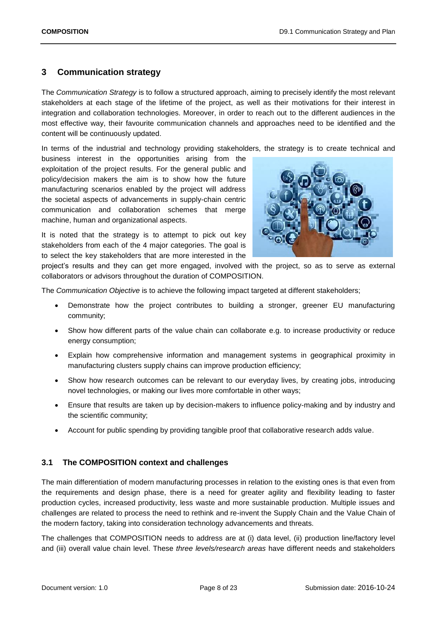## <span id="page-7-0"></span>**3 Communication strategy**

The *Communication Strategy* is to follow a structured approach, aiming to precisely identify the most relevant stakeholders at each stage of the lifetime of the project, as well as their motivations for their interest in integration and collaboration technologies. Moreover, in order to reach out to the different audiences in the most effective way, their favourite communication channels and approaches need to be identified and the content will be continuously updated.

In terms of the industrial and technology providing stakeholders, the strategy is to create technical and

business interest in the opportunities arising from the exploitation of the project results. For the general public and policy/decision makers the aim is to show how the future manufacturing scenarios enabled by the project will address the societal aspects of advancements in supply-chain centric communication and collaboration schemes that merge machine, human and organizational aspects.



It is noted that the strategy is to attempt to pick out key stakeholders from each of the 4 major categories. The goal is to select the key stakeholders that are more interested in the

project's results and they can get more engaged, involved with the project, so as to serve as external collaborators or advisors throughout the duration of COMPOSITION.

The *Communication Objective* is to achieve the following impact targeted at different stakeholders;

- Demonstrate how the project contributes to building a stronger, greener EU manufacturing community;
- Show how different parts of the value chain can collaborate e.g. to increase productivity or reduce energy consumption;
- Explain how comprehensive information and management systems in geographical proximity in manufacturing clusters supply chains can improve production efficiency;
- Show how research outcomes can be relevant to our everyday lives, by creating jobs, introducing novel technologies, or making our lives more comfortable in other ways;
- Ensure that results are taken up by decision-makers to influence policy-making and by industry and the scientific community;
- Account for public spending by providing tangible proof that collaborative research adds value.

## <span id="page-7-1"></span>**3.1 The COMPOSITION context and challenges**

The main differentiation of modern manufacturing processes in relation to the existing ones is that even from the requirements and design phase, there is a need for greater agility and flexibility leading to faster production cycles, increased productivity, less waste and more sustainable production. Multiple issues and challenges are related to process the need to rethink and re-invent the Supply Chain and the Value Chain of the modern factory, taking into consideration technology advancements and threats.

The challenges that COMPOSITION needs to address are at (i) data level, (ii) production line/factory level and (iii) overall value chain level. These *three levels/research areas* have different needs and stakeholders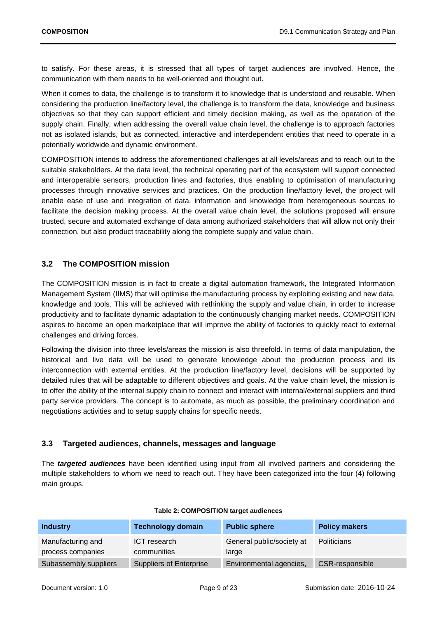to satisfy. For these areas, it is stressed that all types of target audiences are involved. Hence, the communication with them needs to be well-oriented and thought out.

When it comes to data, the challenge is to transform it to knowledge that is understood and reusable. When considering the production line/factory level, the challenge is to transform the data, knowledge and business objectives so that they can support efficient and timely decision making, as well as the operation of the supply chain. Finally, when addressing the overall value chain level, the challenge is to approach factories not as isolated islands, but as connected, interactive and interdependent entities that need to operate in a potentially worldwide and dynamic environment.

COMPOSITION intends to address the aforementioned challenges at all levels/areas and to reach out to the suitable stakeholders. At the data level, the technical operating part of the ecosystem will support connected and interoperable sensors, production lines and factories, thus enabling to optimisation of manufacturing processes through innovative services and practices. On the production line/factory level, the project will enable ease of use and integration of data, information and knowledge from heterogeneous sources to facilitate the decision making process. At the overall value chain level, the solutions proposed will ensure trusted, secure and automated exchange of data among authorized stakeholders that will allow not only their connection, but also product traceability along the complete supply and value chain.

## <span id="page-8-0"></span>**3.2 The COMPOSITION mission**

The COMPOSITION mission is in fact to create a digital automation framework, the Integrated Information Management System (IIMS) that will optimise the manufacturing process by exploiting existing and new data, knowledge and tools. This will be achieved with rethinking the supply and value chain, in order to increase productivity and to facilitate dynamic adaptation to the continuously changing market needs. COMPOSITION aspires to become an open marketplace that will improve the ability of factories to quickly react to external challenges and driving forces.

Following the division into three levels/areas the mission is also threefold. In terms of data manipulation, the historical and live data will be used to generate knowledge about the production process and its interconnection with external entities. At the production line/factory level, decisions will be supported by detailed rules that will be adaptable to different objectives and goals. At the value chain level, the mission is to offer the ability of the internal supply chain to connect and interact with internal/external suppliers and third party service providers. The concept is to automate, as much as possible, the preliminary coordination and negotiations activities and to setup supply chains for specific needs.

## <span id="page-8-1"></span>**3.3 Targeted audiences, channels, messages and language**

The *targeted audiences* have been identified using input from all involved partners and considering the multiple stakeholders to whom we need to reach out. They have been categorized into the four (4) following main groups.

<span id="page-8-2"></span>

| <b>Industry</b>                        | <b>Technology domain</b>       | <b>Public sphere</b>               | <b>Policy makers</b> |
|----------------------------------------|--------------------------------|------------------------------------|----------------------|
| Manufacturing and<br>process companies | ICT research<br>communities    | General public/society at<br>large | Politicians          |
| Subassembly suppliers                  | <b>Suppliers of Enterprise</b> | Environmental agencies,            | CSR-responsible      |

#### **Table 2: COMPOSITION target audiences**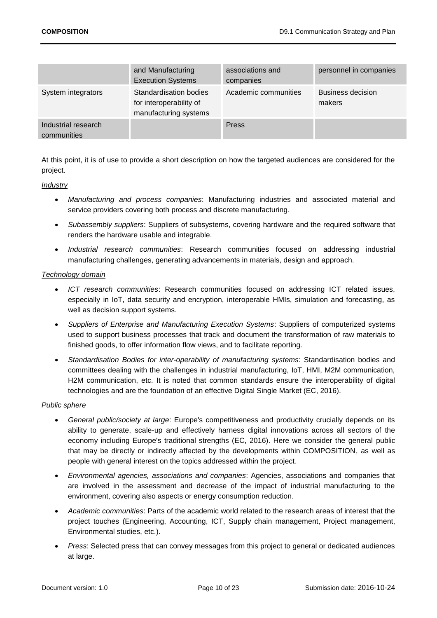|                                    | and Manufacturing<br><b>Execution Systems</b>                              | associations and<br>companies | personnel in companies             |
|------------------------------------|----------------------------------------------------------------------------|-------------------------------|------------------------------------|
| System integrators                 | Standardisation bodies<br>for interoperability of<br>manufacturing systems | Academic communities          | <b>Business decision</b><br>makers |
| Industrial research<br>communities |                                                                            | Press                         |                                    |

At this point, it is of use to provide a short description on how the targeted audiences are considered for the project.

*Industry*

- *Manufacturing and process companies*: Manufacturing industries and associated material and service providers covering both process and discrete manufacturing.
- *Subassembly suppliers*: Suppliers of subsystems, covering hardware and the required software that renders the hardware usable and integrable.
- *Industrial research communities*: Research communities focused on addressing industrial manufacturing challenges, generating advancements in materials, design and approach.

### *Technology domain*

- *ICT research communities*: Research communities focused on addressing ICT related issues, especially in IoT, data security and encryption, interoperable HMIs, simulation and forecasting, as well as decision support systems.
- *Suppliers of Enterprise and Manufacturing Execution Systems*: Suppliers of computerized systems used to support business processes that track and document the transformation of raw materials to finished goods, to offer information flow views, and to facilitate reporting.
- *Standardisation Bodies for inter-operability of manufacturing systems*: Standardisation bodies and committees dealing with the challenges in industrial manufacturing, IoT, HMI, M2M communication, H2M communication, etc. It is noted that common standards ensure the interoperability of digital technologies and are the foundation of an effective Digital Single Market (EC, 2016).

### *Public sphere*

- *General public/society at large*: Europe's competitiveness and productivity crucially depends on its ability to generate, scale-up and effectively harness digital innovations across all sectors of the economy including Europe's traditional strengths (EC, 2016). Here we consider the general public that may be directly or indirectly affected by the developments within COMPOSITION, as well as people with general interest on the topics addressed within the project.
- *Environmental agencies, associations and companies*: Agencies, associations and companies that are involved in the assessment and decrease of the impact of industrial manufacturing to the environment, covering also aspects or energy consumption reduction.
- *Academic communities*: Parts of the academic world related to the research areas of interest that the project touches (Engineering, Accounting, ICT, Supply chain management, Project management, Environmental studies, etc.).
- *Press*: Selected press that can convey messages from this project to general or dedicated audiences at large.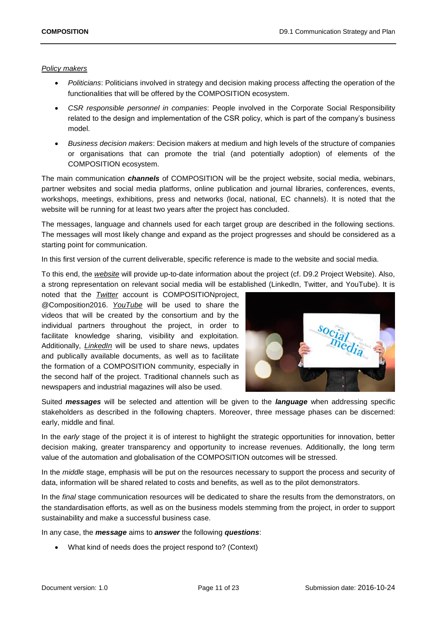#### *Policy makers*

- *Politicians*: Politicians involved in strategy and decision making process affecting the operation of the functionalities that will be offered by the COMPOSITION ecosystem.
- *CSR responsible personnel in companies*: People involved in the Corporate Social Responsibility related to the design and implementation of the CSR policy, which is part of the company's business model.
- *Business decision makers*: Decision makers at medium and high levels of the structure of companies or organisations that can promote the trial (and potentially adoption) of elements of the COMPOSITION ecosystem.

The main communication *channels* of COMPOSITION will be the project website, social media, webinars, partner websites and social media platforms, online publication and journal libraries, conferences, events, workshops, meetings, exhibitions, press and networks (local, national, EC channels). It is noted that the website will be running for at least two years after the project has concluded.

The messages, language and channels used for each target group are described in the following sections. The messages will most likely change and expand as the project progresses and should be considered as a starting point for communication.

In this first version of the current deliverable, specific reference is made to the website and social media.

To this end, the *website* will provide up-to-date information about the project (cf. D9.2 Project Website). Also, a strong representation on relevant social media will be established (LinkedIn, Twitter, and YouTube). It is

noted that the *Twitter* account is COMPOSITIONproject, @Composition2016. *YouTube* will be used to share the videos that will be created by the consortium and by the individual partners throughout the project, in order to facilitate knowledge sharing, visibility and exploitation. Additionally, *LinkedIn* will be used to share news, updates and publically available documents, as well as to facilitate the formation of a COMPOSITION community, especially in the second half of the project. Traditional channels such as newspapers and industrial magazines will also be used.



Suited *messages* will be selected and attention will be given to the *language* when addressing specific stakeholders as described in the following chapters. Moreover, three message phases can be discerned: early, middle and final.

In the *early* stage of the project it is of interest to highlight the strategic opportunities for innovation, better decision making, greater transparency and opportunity to increase revenues. Additionally, the long term value of the automation and globalisation of the COMPOSITION outcomes will be stressed.

In the *middle* stage, emphasis will be put on the resources necessary to support the process and security of data, information will be shared related to costs and benefits, as well as to the pilot demonstrators.

In the *final* stage communication resources will be dedicated to share the results from the demonstrators, on the standardisation efforts, as well as on the business models stemming from the project, in order to support sustainability and make a successful business case.

In any case, the *message* aims to *answer* the following *questions*:

What kind of needs does the project respond to? (Context)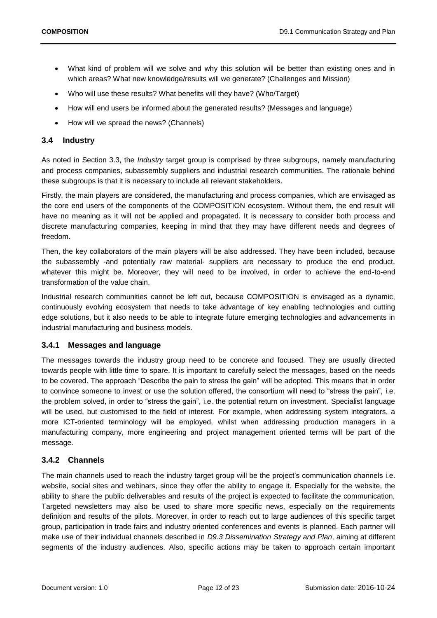- What kind of problem will we solve and why this solution will be better than existing ones and in which areas? What new knowledge/results will we generate? (Challenges and Mission)
- Who will use these results? What benefits will they have? (Who/Target)
- How will end users be informed about the generated results? (Messages and language)
- How will we spread the news? (Channels)

## <span id="page-11-0"></span>**3.4 Industry**

As noted in Section 3.3, the *Industry* target group is comprised by three subgroups, namely manufacturing and process companies, subassembly suppliers and industrial research communities. The rationale behind these subgroups is that it is necessary to include all relevant stakeholders.

Firstly, the main players are considered, the manufacturing and process companies, which are envisaged as the core end users of the components of the COMPOSITION ecosystem. Without them, the end result will have no meaning as it will not be applied and propagated. It is necessary to consider both process and discrete manufacturing companies, keeping in mind that they may have different needs and degrees of freedom.

Then, the key collaborators of the main players will be also addressed. They have been included, because the subassembly -and potentially raw material- suppliers are necessary to produce the end product, whatever this might be. Moreover, they will need to be involved, in order to achieve the end-to-end transformation of the value chain.

Industrial research communities cannot be left out, because COMPOSITION is envisaged as a dynamic, continuously evolving ecosystem that needs to take advantage of key enabling technologies and cutting edge solutions, but it also needs to be able to integrate future emerging technologies and advancements in industrial manufacturing and business models.

### <span id="page-11-1"></span>**3.4.1 Messages and language**

The messages towards the industry group need to be concrete and focused. They are usually directed towards people with little time to spare. It is important to carefully select the messages, based on the needs to be covered. The approach "Describe the pain to stress the gain" will be adopted. This means that in order to convince someone to invest or use the solution offered, the consortium will need to "stress the pain", i.e. the problem solved, in order to "stress the gain", i.e. the potential return on investment. Specialist language will be used, but customised to the field of interest. For example, when addressing system integrators, a more ICT-oriented terminology will be employed, whilst when addressing production managers in a manufacturing company, more engineering and project management oriented terms will be part of the message.

### <span id="page-11-2"></span>**3.4.2 Channels**

The main channels used to reach the industry target group will be the project's communication channels i.e. website, social sites and webinars, since they offer the ability to engage it. Especially for the website, the ability to share the public deliverables and results of the project is expected to facilitate the communication. Targeted newsletters may also be used to share more specific news, especially on the requirements definition and results of the pilots. Moreover, in order to reach out to large audiences of this specific target group, participation in trade fairs and industry oriented conferences and events is planned. Each partner will make use of their individual channels described in *D9.3 Dissemination Strategy and Plan*, aiming at different segments of the industry audiences. Also, specific actions may be taken to approach certain important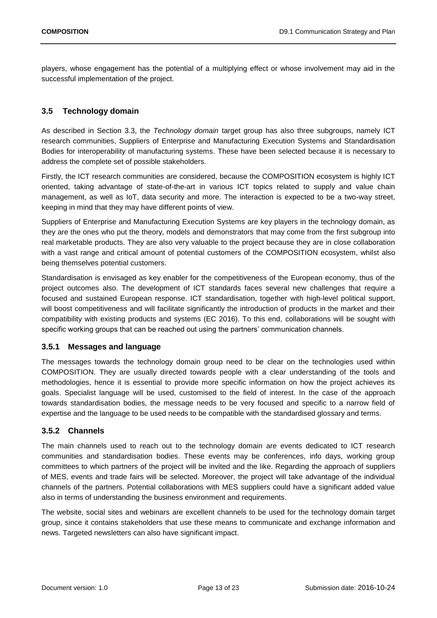players, whose engagement has the potential of a multiplying effect or whose involvement may aid in the successful implementation of the project.

## <span id="page-12-0"></span>**3.5 Technology domain**

As described in Section 3.3, the *Technology domain* target group has also three subgroups, namely ICT research communities, Suppliers of Enterprise and Manufacturing Execution Systems and Standardisation Bodies for interoperability of manufacturing systems. These have been selected because it is necessary to address the complete set of possible stakeholders.

Firstly, the ICT research communities are considered, because the COMPOSITION ecosystem is highly ICT oriented, taking advantage of state-of-the-art in various ICT topics related to supply and value chain management, as well as IoT, data security and more. The interaction is expected to be a two-way street, keeping in mind that they may have different points of view.

Suppliers of Enterprise and Manufacturing Execution Systems are key players in the technology domain, as they are the ones who put the theory, models and demonstrators that may come from the first subgroup into real marketable products. They are also very valuable to the project because they are in close collaboration with a vast range and critical amount of potential customers of the COMPOSITION ecosystem, whilst also being themselves potential customers.

Standardisation is envisaged as key enabler for the competitiveness of the European economy, thus of the project outcomes also. The development of ICT standards faces several new challenges that require a focused and sustained European response. ICT standardisation, together with high-level political support, will boost competitiveness and will facilitate significantly the introduction of products in the market and their compatibility with existing products and systems (EC 2016). To this end, collaborations will be sought with specific working groups that can be reached out using the partners' communication channels.

### <span id="page-12-1"></span>**3.5.1 Messages and language**

The messages towards the technology domain group need to be clear on the technologies used within COMPOSITION. They are usually directed towards people with a clear understanding of the tools and methodologies, hence it is essential to provide more specific information on how the project achieves its goals. Specialist language will be used, customised to the field of interest. In the case of the approach towards standardisation bodies, the message needs to be very focused and specific to a narrow field of expertise and the language to be used needs to be compatible with the standardised glossary and terms.

## <span id="page-12-2"></span>**3.5.2 Channels**

The main channels used to reach out to the technology domain are events dedicated to ICT research communities and standardisation bodies. These events may be conferences, info days, working group committees to which partners of the project will be invited and the like. Regarding the approach of suppliers of MES, events and trade fairs will be selected. Moreover, the project will take advantage of the individual channels of the partners. Potential collaborations with MES suppliers could have a significant added value also in terms of understanding the business environment and requirements.

The website, social sites and webinars are excellent channels to be used for the technology domain target group, since it contains stakeholders that use these means to communicate and exchange information and news. Targeted newsletters can also have significant impact.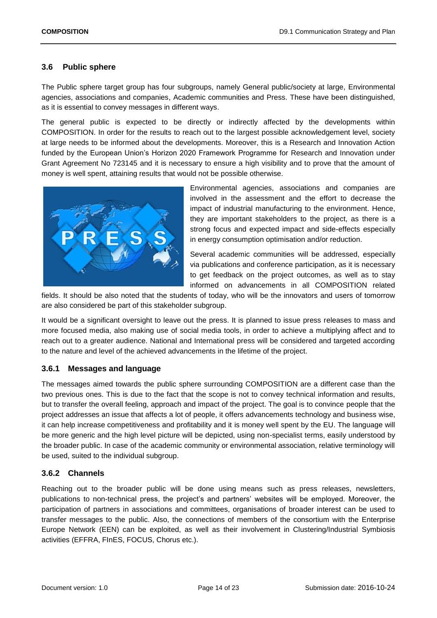## <span id="page-13-0"></span>**3.6 Public sphere**

The Public sphere target group has four subgroups, namely General public/society at large, Environmental agencies, associations and companies, Academic communities and Press. These have been distinguished, as it is essential to convey messages in different ways.

The general public is expected to be directly or indirectly affected by the developments within COMPOSITION. In order for the results to reach out to the largest possible acknowledgement level, society at large needs to be informed about the developments. Moreover, this is a Research and Innovation Action funded by the European Union's Horizon 2020 Framework Programme for Research and Innovation under Grant Agreement No 723145 and it is necessary to ensure a high visibility and to prove that the amount of money is well spent, attaining results that would not be possible otherwise.



Environmental agencies, associations and companies are involved in the assessment and the effort to decrease the impact of industrial manufacturing to the environment. Hence, they are important stakeholders to the project, as there is a strong focus and expected impact and side-effects especially in energy consumption optimisation and/or reduction.

Several academic communities will be addressed, especially via publications and conference participation, as it is necessary to get feedback on the project outcomes, as well as to stay informed on advancements in all COMPOSITION related

fields. It should be also noted that the students of today, who will be the innovators and users of tomorrow are also considered be part of this stakeholder subgroup.

It would be a significant oversight to leave out the press. It is planned to issue press releases to mass and more focused media, also making use of social media tools, in order to achieve a multiplying affect and to reach out to a greater audience. National and International press will be considered and targeted according to the nature and level of the achieved advancements in the lifetime of the project.

### <span id="page-13-1"></span>**3.6.1 Messages and language**

The messages aimed towards the public sphere surrounding COMPOSITION are a different case than the two previous ones. This is due to the fact that the scope is not to convey technical information and results, but to transfer the overall feeling, approach and impact of the project. The goal is to convince people that the project addresses an issue that affects a lot of people, it offers advancements technology and business wise, it can help increase competitiveness and profitability and it is money well spent by the EU. The language will be more generic and the high level picture will be depicted, using non-specialist terms, easily understood by the broader public. In case of the academic community or environmental association, relative terminology will be used, suited to the individual subgroup.

### <span id="page-13-2"></span>**3.6.2 Channels**

Reaching out to the broader public will be done using means such as press releases, newsletters, publications to non-technical press, the project's and partners' websites will be employed. Moreover, the participation of partners in associations and committees, organisations of broader interest can be used to transfer messages to the public. Also, the connections of members of the consortium with the Enterprise Europe Network (EEN) can be exploited, as well as their involvement in Clustering/Industrial Symbiosis activities (EFFRA, FInES, FOCUS, Chorus etc.).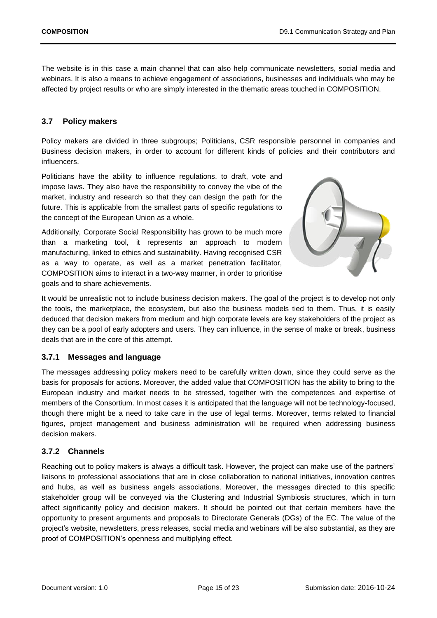The website is in this case a main channel that can also help communicate newsletters, social media and webinars. It is also a means to achieve engagement of associations, businesses and individuals who may be affected by project results or who are simply interested in the thematic areas touched in COMPOSITION.

## <span id="page-14-0"></span>**3.7 Policy makers**

Policy makers are divided in three subgroups; Politicians, CSR responsible personnel in companies and Business decision makers, in order to account for different kinds of policies and their contributors and influencers.

Politicians have the ability to influence regulations, to draft, vote and impose laws. They also have the responsibility to convey the vibe of the market, industry and research so that they can design the path for the future. This is applicable from the smallest parts of specific regulations to the concept of the European Union as a whole.

Additionally, Corporate Social Responsibility has grown to be much more than a marketing tool, it represents an approach to modern manufacturing, linked to ethics and sustainability. Having recognised CSR as a way to operate, as well as a market penetration facilitator, COMPOSITION aims to interact in a two-way manner, in order to prioritise goals and to share achievements.



It would be unrealistic not to include business decision makers. The goal of the project is to develop not only the tools, the marketplace, the ecosystem, but also the business models tied to them. Thus, it is easily deduced that decision makers from medium and high corporate levels are key stakeholders of the project as they can be a pool of early adopters and users. They can influence, in the sense of make or break, business deals that are in the core of this attempt.

### <span id="page-14-1"></span>**3.7.1 Messages and language**

The messages addressing policy makers need to be carefully written down, since they could serve as the basis for proposals for actions. Moreover, the added value that COMPOSITION has the ability to bring to the European industry and market needs to be stressed, together with the competences and expertise of members of the Consortium. In most cases it is anticipated that the language will not be technology-focused, though there might be a need to take care in the use of legal terms. Moreover, terms related to financial figures, project management and business administration will be required when addressing business decision makers.

## <span id="page-14-2"></span>**3.7.2 Channels**

Reaching out to policy makers is always a difficult task. However, the project can make use of the partners' liaisons to professional associations that are in close collaboration to national initiatives, innovation centres and hubs, as well as business angels associations. Moreover, the messages directed to this specific stakeholder group will be conveyed via the Clustering and Industrial Symbiosis structures, which in turn affect significantly policy and decision makers. It should be pointed out that certain members have the opportunity to present arguments and proposals to Directorate Generals (DGs) of the EC. The value of the project's website, newsletters, press releases, social media and webinars will be also substantial, as they are proof of COMPOSITION's openness and multiplying effect.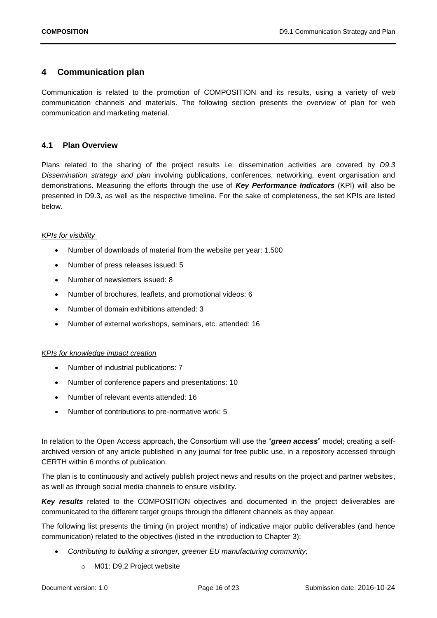## <span id="page-15-0"></span>**4 Communication plan**

Communication is related to the promotion of COMPOSITION and its results, using a variety of web communication channels and materials. The following section presents the overview of plan for web communication and marketing material.

## <span id="page-15-1"></span>**4.1 Plan Overview**

Plans related to the sharing of the project results i.e. dissemination activities are covered by *D9.3 Dissemination strategy and plan* involving publications, conferences, networking, event organisation and demonstrations. Measuring the efforts through the use of *Key Performance Indicators* (KPI) will also be presented in D9.3, as well as the respective timeline. For the sake of completeness, the set KPIs are listed below.

### *KPIs for visibility*

- Number of downloads of material from the website per year: 1.500
- Number of press releases issued: 5
- Number of newsletters issued: 8
- Number of brochures, leaflets, and promotional videos: 6
- Number of domain exhibitions attended: 3
- Number of external workshops, seminars, etc. attended: 16

### *KPIs for knowledge impact creation*

- Number of industrial publications: 7
- Number of conference papers and presentations: 10
- Number of relevant events attended: 16
- Number of contributions to pre-normative work: 5

In relation to the Open Access approach, the Consortium will use the "*green access*" model; creating a selfarchived version of any article published in any journal for free public use, in a repository accessed through CERTH within 6 months of publication.

The plan is to continuously and actively publish project news and results on the project and partner websites, as well as through social media channels to ensure visibility.

Key results related to the COMPOSITION objectives and documented in the project deliverables are communicated to the different target groups through the different channels as they appear.

The following list presents the timing (in project months) of indicative major public deliverables (and hence communication) related to the objectives (listed in the introduction to Chapter 3);

- *Contributing to building a stronger, greener EU manufacturing community;* 
	- o M01: D9.2 Project website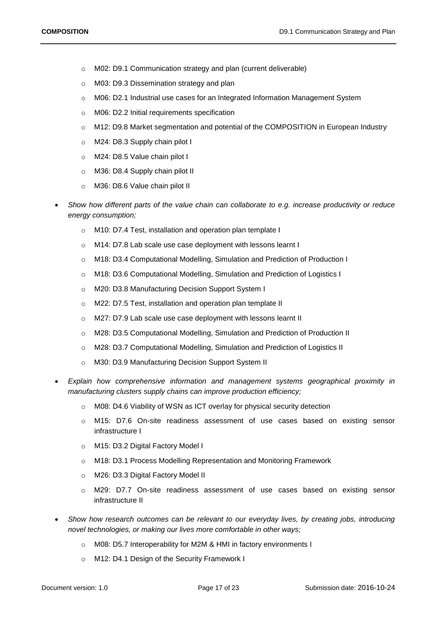- o M02: D9.1 Communication strategy and plan (current deliverable)
- o M03: D9.3 Dissemination strategy and plan
- o M06: D2.1 Industrial use cases for an Integrated Information Management System
- o M06: D2.2 Initial requirements specification
- o M12: D9.8 Market segmentation and potential of the COMPOSITION in European Industry
- o M24: D8.3 Supply chain pilot I
- o M24: D8.5 Value chain pilot I
- o M36: D8.4 Supply chain pilot II
- o M36: D8.6 Value chain pilot II
- *Show how different parts of the value chain can collaborate to e.g. increase productivity or reduce energy consumption;*
	- o M10: D7.4 Test, installation and operation plan template I
	- o M14: D7.8 Lab scale use case deployment with lessons learnt I
	- o M18: D3.4 Computational Modelling, Simulation and Prediction of Production I
	- o M18: D3.6 Computational Modelling, Simulation and Prediction of Logistics I
	- o M20: D3.8 Manufacturing Decision Support System I
	- o M22: D7.5 Test, installation and operation plan template II
	- o M27: D7.9 Lab scale use case deployment with lessons learnt II
	- o M28: D3.5 Computational Modelling, Simulation and Prediction of Production II
	- o M28: D3.7 Computational Modelling, Simulation and Prediction of Logistics II
	- o M30: D3.9 Manufacturing Decision Support System II
- *Explain how comprehensive information and management systems geographical proximity in manufacturing clusters supply chains can improve production efficiency;* 
	- o M08: D4.6 Viability of WSN as ICT overlay for physical security detection
	- o M15: D7.6 On-site readiness assessment of use cases based on existing sensor infrastructure I
	- o M15: D3.2 Digital Factory Model I
	- o M18: D3.1 Process Modelling Representation and Monitoring Framework
	- o M26: D3.3 Digital Factory Model II
	- o M29: D7.7 On-site readiness assessment of use cases based on existing sensor infrastructure II
- *Show how research outcomes can be relevant to our everyday lives, by creating jobs, introducing novel technologies, or making our lives more comfortable in other ways;* 
	- o M08: D5.7 Interoperability for M2M & HMI in factory environments I
	- o M12: D4.1 Design of the Security Framework I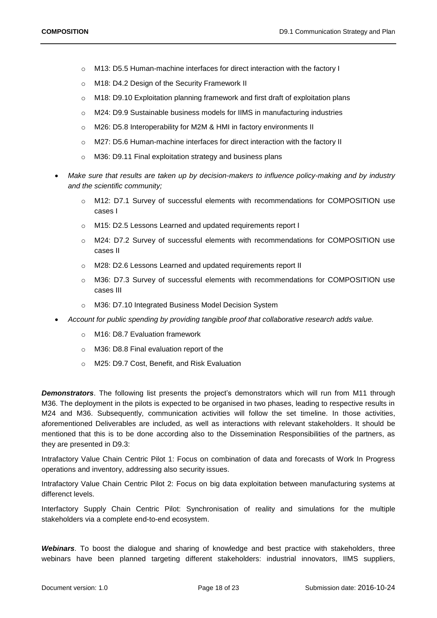- o M13: D5.5 Human-machine interfaces for direct interaction with the factory I
- o M18: D4.2 Design of the Security Framework II
- o M18: D9.10 Exploitation planning framework and first draft of exploitation plans
- o M24: D9.9 Sustainable business models for IIMS in manufacturing industries
- o M26: D5.8 Interoperability for M2M & HMI in factory environments II
- o M27: D5.6 Human-machine interfaces for direct interaction with the factory II
- o M36: D9.11 Final exploitation strategy and business plans
- *Make sure that results are taken up by decision-makers to influence policy-making and by industry and the scientific community;* 
	- o M12: D7.1 Survey of successful elements with recommendations for COMPOSITION use cases I
	- o M15: D2.5 Lessons Learned and updated requirements report I
	- o M24: D7.2 Survey of successful elements with recommendations for COMPOSITION use cases II
	- o M28: D2.6 Lessons Learned and updated requirements report II
	- o M36: D7.3 Survey of successful elements with recommendations for COMPOSITION use cases III
	- o M36: D7.10 Integrated Business Model Decision System
- *Account for public spending by providing tangible proof that collaborative research adds value.* 
	- o M16: D8.7 Evaluation framework
	- o M36: D8.8 Final evaluation report of the
	- o M25: D9.7 Cost, Benefit, and Risk Evaluation

**Demonstrators**. The following list presents the project's demonstrators which will run from M11 through M36. The deployment in the pilots is expected to be organised in two phases, leading to respective results in M24 and M36. Subsequently, communication activities will follow the set timeline. In those activities, aforementioned Deliverables are included, as well as interactions with relevant stakeholders. It should be mentioned that this is to be done according also to the Dissemination Responsibilities of the partners, as they are presented in D9.3:

Intrafactory Value Chain Centric Pilot 1: Focus on combination of data and forecasts of Work In Progress operations and inventory, addressing also security issues.

Intrafactory Value Chain Centric Pilot 2: Focus on big data exploitation between manufacturing systems at differenct levels.

Interfactory Supply Chain Centric Pilot: Synchronisation of reality and simulations for the multiple stakeholders via a complete end-to-end ecosystem.

*Webinars*. To boost the dialogue and sharing of knowledge and best practice with stakeholders, three webinars have been planned targeting different stakeholders: industrial innovators, IIMS suppliers,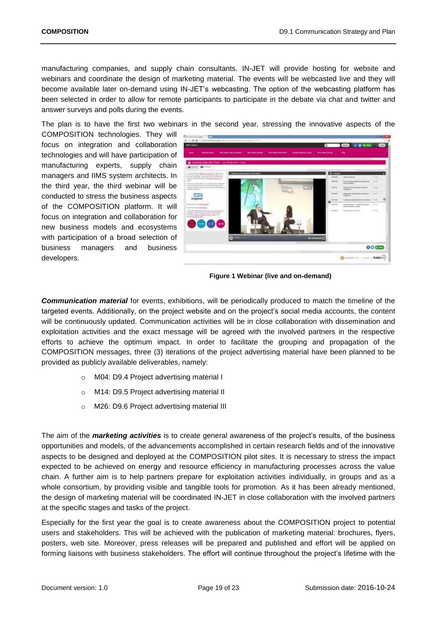manufacturing companies, and supply chain consultants. IN-JET will provide hosting for website and webinars and coordinate the design of marketing material. The events will be webcasted live and they will become available later on-demand using IN-JET's webcasting. The option of the webcasting platform has been selected in order to allow for remote participants to participate in the debate via chat and twitter and answer surveys and polls during the events.

The plan is to have the first two webinars in the second year, stressing the innovative aspects of the

COMPOSITION technologies. They will focus on integration and collaboration technologies and will have participation of manufacturing experts, supply chain managers and IIMS system architects. In the third year, the third webinar will be conducted to stress the business aspects of the COMPOSITION platform. It will focus on integration and collaboration for new business models and ecosystems with participation of a broad selection of business managers and business developers.

<span id="page-18-0"></span>

**Figure 1 Webinar (live and on-demand)** 

*Communication material* for events, exhibitions, will be periodically produced to match the timeline of the targeted events. Additionally, on the project website and on the project's social media accounts, the content will be continuously updated. Communication activities will be in close collaboration with dissemination and exploitation activities and the exact message will be agreed with the involved partners in the respective efforts to achieve the optimum impact. In order to facilitate the grouping and propagation of the COMPOSITION messages, three (3) iterations of the project advertising material have been planned to be provided as publicly available deliverables, namely:

- o M04: D9.4 Project advertising material I
- o M14: D9.5 Project advertising material II
- o M26: D9.6 Project advertising material III

The aim of the *marketing activities* is to create general awareness of the project's results, of the business opportunities and models, of the advancements accomplished in certain research fields and of the innovative aspects to be designed and deployed at the COMPOSITION pilot sites. It is necessary to stress the impact expected to be achieved on energy and resource efficiency in manufacturing processes across the value chain. A further aim is to help partners prepare for exploitation activities individually, in groups and as a whole consortium, by providing visible and tangible tools for promotion. As it has been already mentioned, the design of marketing material will be coordinated IN-JET in close collaboration with the involved partners at the specific stages and tasks of the project.

Especially for the first year the goal is to create awareness about the COMPOSITION project to potential users and stakeholders. This will be achieved with the publication of marketing material: brochures, flyers, posters, web site. Moreover, press releases will be prepared and published and effort will be applied on forming liaisons with business stakeholders. The effort will continue throughout the project's lifetime with the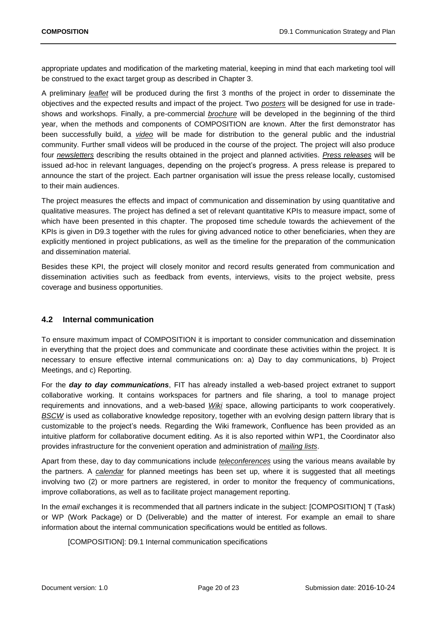appropriate updates and modification of the marketing material, keeping in mind that each marketing tool will be construed to the exact target group as described in Chapter 3.

A preliminary *leaflet* will be produced during the first 3 months of the project in order to disseminate the objectives and the expected results and impact of the project. Two *posters* will be designed for use in tradeshows and workshops. Finally, a pre-commercial *brochure* will be developed in the beginning of the third year, when the methods and components of COMPOSITION are known. After the first demonstrator has been successfully build, a *video* will be made for distribution to the general public and the industrial community. Further small videos will be produced in the course of the project. The project will also produce four *newsletters* describing the results obtained in the project and planned activities. *Press releases* will be issued ad-hoc in relevant languages, depending on the project's progress. A press release is prepared to announce the start of the project. Each partner organisation will issue the press release locally, customised to their main audiences.

The project measures the effects and impact of communication and dissemination by using quantitative and qualitative measures. The project has defined a set of relevant quantitative KPIs to measure impact, some of which have been presented in this chapter. The proposed time schedule towards the achievement of the KPIs is given in D9.3 together with the rules for giving advanced notice to other beneficiaries, when they are explicitly mentioned in project publications, as well as the timeline for the preparation of the communication and dissemination material.

Besides these KPI, the project will closely monitor and record results generated from communication and dissemination activities such as feedback from events, interviews, visits to the project website, press coverage and business opportunities.

## <span id="page-19-0"></span>**4.2 Internal communication**

To ensure maximum impact of COMPOSITION it is important to consider communication and dissemination in everything that the project does and communicate and coordinate these activities within the project. It is necessary to ensure effective internal communications on: a) Day to day communications, b) Project Meetings, and c) Reporting.

For the *day to day communications*, FIT has already installed a web-based project extranet to support collaborative working. It contains workspaces for partners and file sharing, a tool to manage project requirements and innovations, and a web-based *Wiki* space, allowing participants to work cooperatively. *BSCW* is used as collaborative knowledge repository, together with an evolving design pattern library that is customizable to the project's needs. Regarding the Wiki framework, Confluence has been provided as an intuitive platform for collaborative document editing. As it is also reported within WP1, the Coordinator also provides infrastructure for the convenient operation and administration of *mailing lists*.

Apart from these, day to day communications include *teleconferences* using the various means available by the partners. A *calendar* for planned meetings has been set up, where it is suggested that all meetings involving two (2) or more partners are registered, in order to monitor the frequency of communications, improve collaborations, as well as to facilitate project management reporting.

In the *email* exchanges it is recommended that all partners indicate in the subject: [COMPOSITION] T (Task) or WP (Work Package) or D (Deliverable) and the matter of interest. For example an email to share information about the internal communication specifications would be entitled as follows.

[COMPOSITION]: D9.1 Internal communication specifications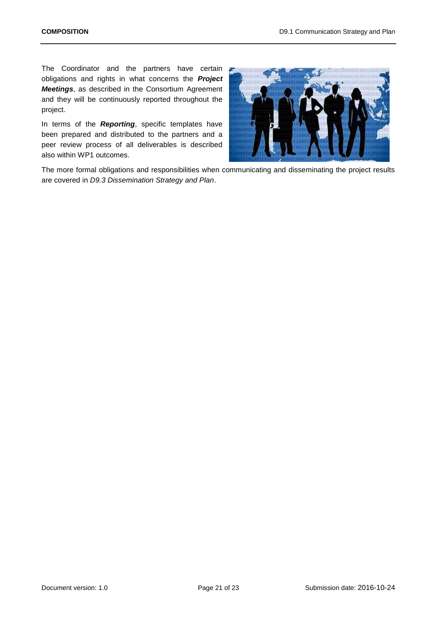The Coordinator and the partners have certain obligations and rights in what concerns the *Project Meetings*, as described in the Consortium Agreement and they will be continuously reported throughout the project.

In terms of the *Reporting*, specific templates have been prepared and distributed to the partners and a peer review process of all deliverables is described also within WP1 outcomes.



The more formal obligations and responsibilities when communicating and disseminating the project results are covered in *D9.3 Dissemination Strategy and Plan*.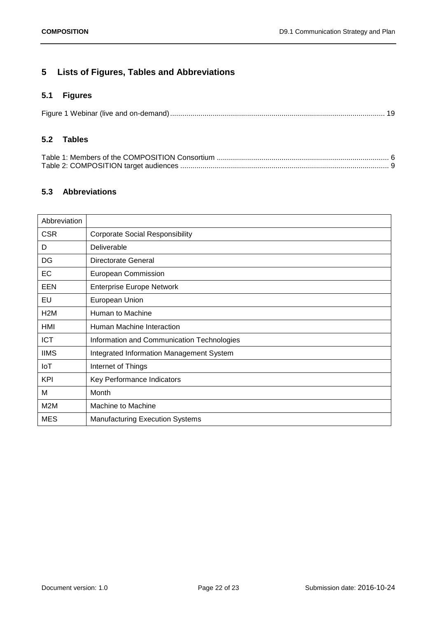## <span id="page-21-0"></span>**5 Lists of Figures, Tables and Abbreviations**

## <span id="page-21-1"></span>**5.1 Figures**

## <span id="page-21-2"></span>**5.2 Tables**

## <span id="page-21-3"></span>**5.3 Abbreviations**

| Abbreviation     |                                            |
|------------------|--------------------------------------------|
| <b>CSR</b>       | <b>Corporate Social Responsibility</b>     |
| D                | Deliverable                                |
| DG               | Directorate General                        |
| EC               | <b>European Commission</b>                 |
| EEN              | <b>Enterprise Europe Network</b>           |
| EU               | European Union                             |
| H <sub>2</sub> M | Human to Machine                           |
| HMI              | Human Machine Interaction                  |
| <b>ICT</b>       | Information and Communication Technologies |
| <b>IIMS</b>      | Integrated Information Management System   |
| IoT              | Internet of Things                         |
| <b>KPI</b>       | Key Performance Indicators                 |
| M                | Month                                      |
| M2M              | Machine to Machine                         |
| <b>MES</b>       | <b>Manufacturing Execution Systems</b>     |